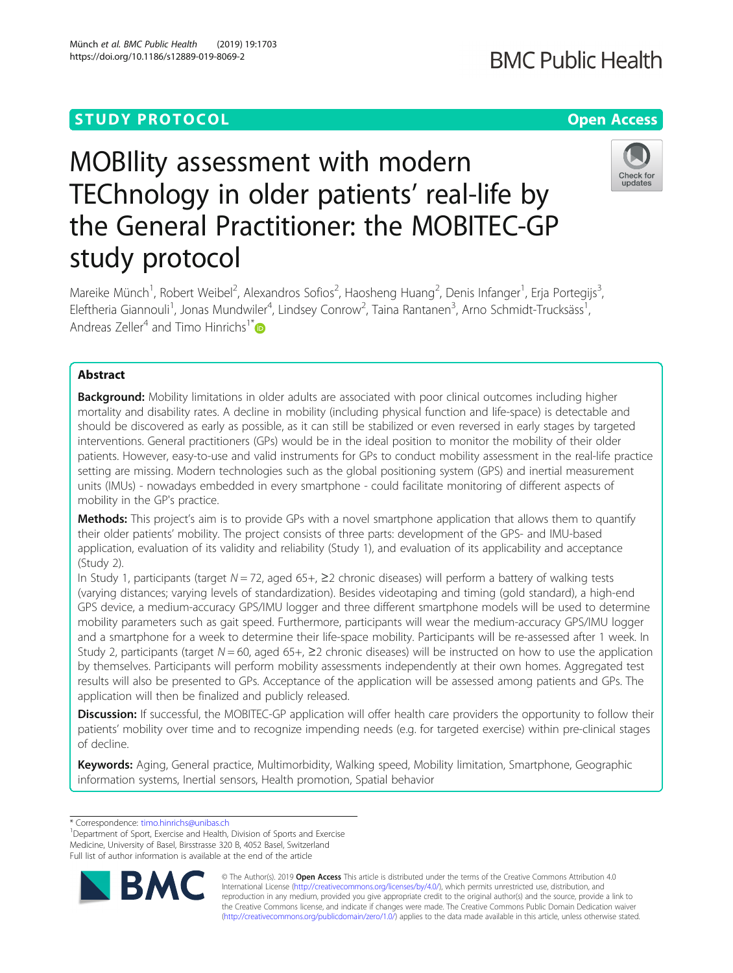Münch et al. BMC Public Health (2019) 19:1703 https://doi.org/10.1186/s12889-019-8069-2

# MOBIlity assessment with modern TEChnology in older patients' real-life by the General Practitioner: the MOBITEC-GP study protocol



Mareike Münch<sup>1</sup>, Robert Weibel<sup>2</sup>, Alexandros Sofios<sup>2</sup>, Haosheng Huang<sup>2</sup>, Denis Infanger<sup>1</sup>, Erja Portegijs<sup>3</sup> , Eleftheria Giannouli<sup>1</sup>, Jonas Mundwiler<sup>4</sup>, Lindsey Conrow<sup>2</sup>, Taina Rantanen<sup>3</sup>, Arno Schmidt-Trucksäss<sup>1</sup> , Andreas Zeller<sup>4</sup> and Timo Hinrichs<sup>1\*</sup>

# Abstract

**Background:** Mobility limitations in older adults are associated with poor clinical outcomes including higher mortality and disability rates. A decline in mobility (including physical function and life-space) is detectable and should be discovered as early as possible, as it can still be stabilized or even reversed in early stages by targeted interventions. General practitioners (GPs) would be in the ideal position to monitor the mobility of their older patients. However, easy-to-use and valid instruments for GPs to conduct mobility assessment in the real-life practice setting are missing. Modern technologies such as the global positioning system (GPS) and inertial measurement units (IMUs) - nowadays embedded in every smartphone - could facilitate monitoring of different aspects of mobility in the GP's practice.

**Methods:** This project's aim is to provide GPs with a novel smartphone application that allows them to quantify their older patients' mobility. The project consists of three parts: development of the GPS- and IMU-based application, evaluation of its validity and reliability (Study 1), and evaluation of its applicability and acceptance (Study 2).

In Study 1, participants (target  $N = 72$ , aged 65+,  $\geq 2$  chronic diseases) will perform a battery of walking tests (varying distances; varying levels of standardization). Besides videotaping and timing (gold standard), a high-end GPS device, a medium-accuracy GPS/IMU logger and three different smartphone models will be used to determine mobility parameters such as gait speed. Furthermore, participants will wear the medium-accuracy GPS/IMU logger and a smartphone for a week to determine their life-space mobility. Participants will be re-assessed after 1 week. In Study 2, participants (target  $N = 60$ , aged 65+,  $\geq 2$  chronic diseases) will be instructed on how to use the application by themselves. Participants will perform mobility assessments independently at their own homes. Aggregated test results will also be presented to GPs. Acceptance of the application will be assessed among patients and GPs. The application will then be finalized and publicly released.

Discussion: If successful, the MOBITEC-GP application will offer health care providers the opportunity to follow their patients' mobility over time and to recognize impending needs (e.g. for targeted exercise) within pre-clinical stages of decline.

Keywords: Aging, General practice, Multimorbidity, Walking speed, Mobility limitation, Smartphone, Geographic information systems, Inertial sensors, Health promotion, Spatial behavior

\* Correspondence: [timo.hinrichs@unibas.ch](mailto:timo.hinrichs@unibas.ch) <sup>1</sup>

<sup>1</sup>Department of Sport, Exercise and Health, Division of Sports and Exercise Medicine, University of Basel, Birsstrasse 320 B, 4052 Basel, Switzerland Full list of author information is available at the end of the article



© The Author(s). 2019 **Open Access** This article is distributed under the terms of the Creative Commons Attribution 4.0 International License [\(http://creativecommons.org/licenses/by/4.0/](http://creativecommons.org/licenses/by/4.0/)), which permits unrestricted use, distribution, and reproduction in any medium, provided you give appropriate credit to the original author(s) and the source, provide a link to the Creative Commons license, and indicate if changes were made. The Creative Commons Public Domain Dedication waiver [\(http://creativecommons.org/publicdomain/zero/1.0/](http://creativecommons.org/publicdomain/zero/1.0/)) applies to the data made available in this article, unless otherwise stated.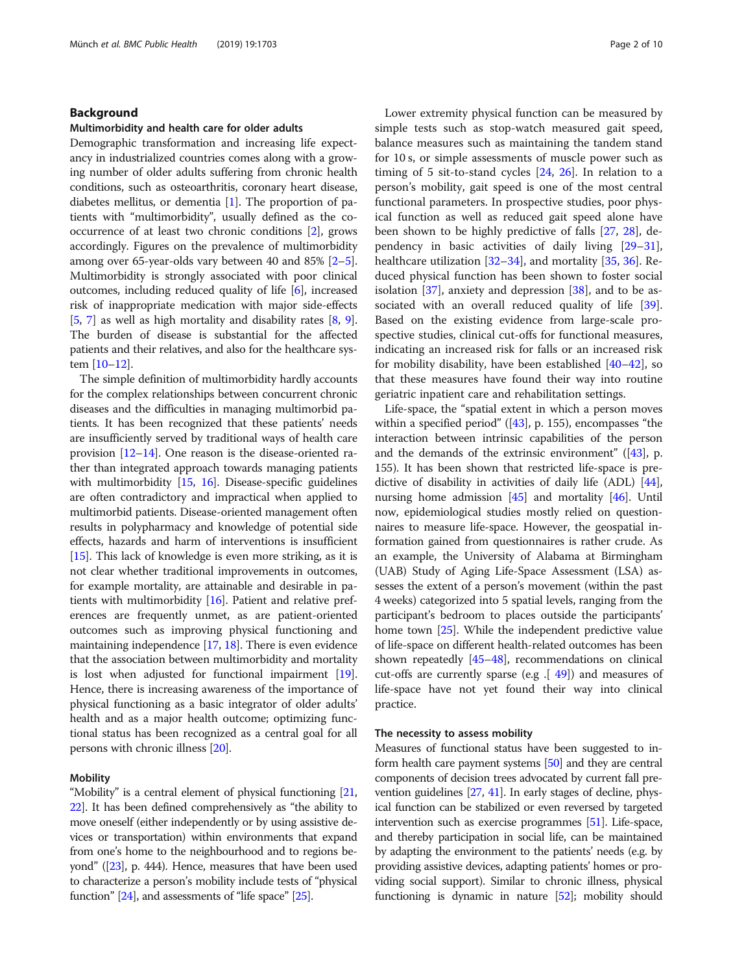# Background

#### Multimorbidity and health care for older adults

Demographic transformation and increasing life expectancy in industrialized countries comes along with a growing number of older adults suffering from chronic health conditions, such as osteoarthritis, coronary heart disease, diabetes mellitus, or dementia [\[1\]](#page-7-0). The proportion of patients with "multimorbidity", usually defined as the cooccurrence of at least two chronic conditions [[2\]](#page-7-0), grows accordingly. Figures on the prevalence of multimorbidity among over 65-year-olds vary between 40 and 85% [[2](#page-7-0)–[5](#page-8-0)]. Multimorbidity is strongly associated with poor clinical outcomes, including reduced quality of life [\[6](#page-8-0)], increased risk of inappropriate medication with major side-effects [[5,](#page-8-0) [7](#page-8-0)] as well as high mortality and disability rates [[8,](#page-8-0) [9](#page-8-0)]. The burden of disease is substantial for the affected patients and their relatives, and also for the healthcare system [[10](#page-8-0)–[12](#page-8-0)].

The simple definition of multimorbidity hardly accounts for the complex relationships between concurrent chronic diseases and the difficulties in managing multimorbid patients. It has been recognized that these patients' needs are insufficiently served by traditional ways of health care provision  $[12-14]$  $[12-14]$  $[12-14]$ . One reason is the disease-oriented rather than integrated approach towards managing patients with multimorbidity [\[15,](#page-8-0) [16](#page-8-0)]. Disease-specific guidelines are often contradictory and impractical when applied to multimorbid patients. Disease-oriented management often results in polypharmacy and knowledge of potential side effects, hazards and harm of interventions is insufficient [[15](#page-8-0)]. This lack of knowledge is even more striking, as it is not clear whether traditional improvements in outcomes, for example mortality, are attainable and desirable in patients with multimorbidity [\[16](#page-8-0)]. Patient and relative preferences are frequently unmet, as are patient-oriented outcomes such as improving physical functioning and maintaining independence  $[17, 18]$  $[17, 18]$  $[17, 18]$  $[17, 18]$ . There is even evidence that the association between multimorbidity and mortality is lost when adjusted for functional impairment [[19](#page-8-0)]. Hence, there is increasing awareness of the importance of physical functioning as a basic integrator of older adults' health and as a major health outcome; optimizing functional status has been recognized as a central goal for all persons with chronic illness [\[20\]](#page-8-0).

#### Mobility

"Mobility" is a central element of physical functioning [\[21](#page-8-0), [22](#page-8-0)]. It has been defined comprehensively as "the ability to move oneself (either independently or by using assistive devices or transportation) within environments that expand from one's home to the neighbourhood and to regions beyond" ([\[23](#page-8-0)], p. 444). Hence, measures that have been used to characterize a person's mobility include tests of "physical function"  $[24]$ , and assessments of "life space"  $[25]$ .

Lower extremity physical function can be measured by simple tests such as stop-watch measured gait speed, balance measures such as maintaining the tandem stand for 10 s, or simple assessments of muscle power such as timing of 5 sit-to-stand cycles [[24](#page-8-0), [26](#page-8-0)]. In relation to a person's mobility, gait speed is one of the most central functional parameters. In prospective studies, poor physical function as well as reduced gait speed alone have been shown to be highly predictive of falls [[27,](#page-8-0) [28](#page-8-0)], dependency in basic activities of daily living [[29](#page-8-0)–[31](#page-8-0)], healthcare utilization [[32](#page-8-0)–[34](#page-8-0)], and mortality [[35,](#page-8-0) [36](#page-8-0)]. Reduced physical function has been shown to foster social isolation  $[37]$  $[37]$ , anxiety and depression  $[38]$  $[38]$ , and to be as-sociated with an overall reduced quality of life [\[39](#page-8-0)]. Based on the existing evidence from large-scale prospective studies, clinical cut-offs for functional measures, indicating an increased risk for falls or an increased risk for mobility disability, have been established [\[40](#page-8-0)–[42\]](#page-8-0), so that these measures have found their way into routine geriatric inpatient care and rehabilitation settings.

Life-space, the "spatial extent in which a person moves within a specified period"  $([43], p. 155)$  $([43], p. 155)$  $([43], p. 155)$ , encompasses "the interaction between intrinsic capabilities of the person and the demands of the extrinsic environment" ([\[43](#page-8-0)], p. 155). It has been shown that restricted life-space is predictive of disability in activities of daily life (ADL) [[44](#page-8-0)], nursing home admission [\[45\]](#page-8-0) and mortality [\[46\]](#page-8-0). Until now, epidemiological studies mostly relied on questionnaires to measure life-space. However, the geospatial information gained from questionnaires is rather crude. As an example, the University of Alabama at Birmingham (UAB) Study of Aging Life-Space Assessment (LSA) assesses the extent of a person's movement (within the past 4 weeks) categorized into 5 spatial levels, ranging from the participant's bedroom to places outside the participants' home town [\[25\]](#page-8-0). While the independent predictive value of life-space on different health-related outcomes has been shown repeatedly [\[45](#page-8-0)–[48](#page-8-0)], recommendations on clinical cut-offs are currently sparse (e.g.  $[49]$  $[49]$ ) and measures of life-space have not yet found their way into clinical practice.

# The necessity to assess mobility

Measures of functional status have been suggested to inform health care payment systems [\[50\]](#page-8-0) and they are central components of decision trees advocated by current fall prevention guidelines [\[27,](#page-8-0) [41](#page-8-0)]. In early stages of decline, physical function can be stabilized or even reversed by targeted intervention such as exercise programmes [\[51\]](#page-9-0). Life-space, and thereby participation in social life, can be maintained by adapting the environment to the patients' needs (e.g. by providing assistive devices, adapting patients' homes or providing social support). Similar to chronic illness, physical functioning is dynamic in nature [\[52](#page-9-0)]; mobility should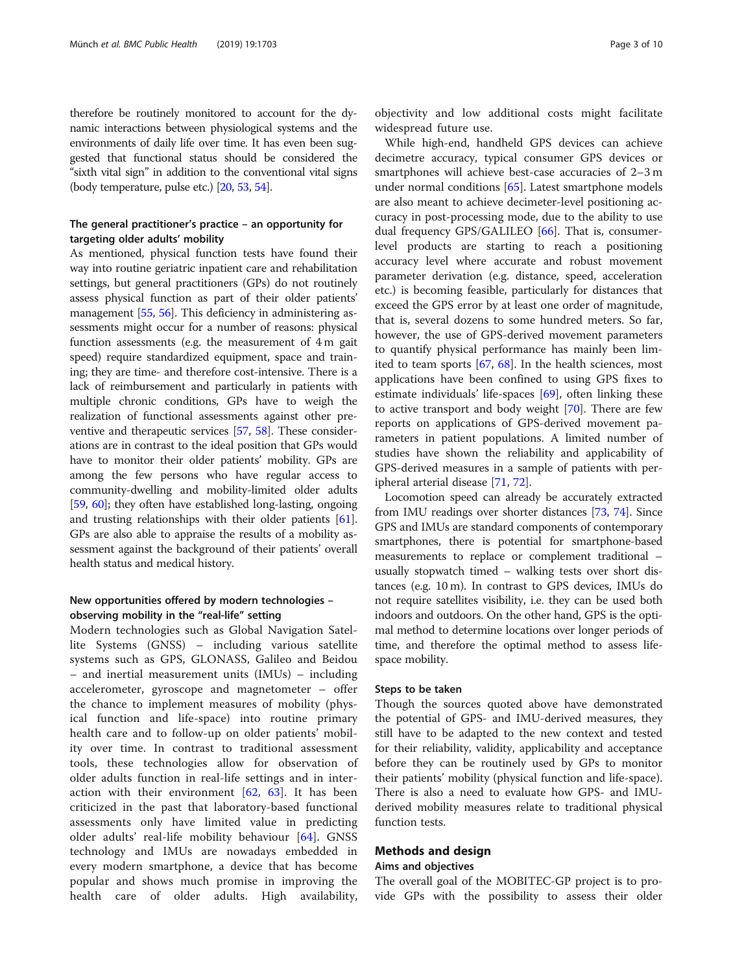therefore be routinely monitored to account for the dynamic interactions between physiological systems and the environments of daily life over time. It has even been suggested that functional status should be considered the "sixth vital sign" in addition to the conventional vital signs (body temperature, pulse etc.) [\[20](#page-8-0), [53](#page-9-0), [54](#page-9-0)].

# The general practitioner's practice – an opportunity for targeting older adults' mobility

As mentioned, physical function tests have found their way into routine geriatric inpatient care and rehabilitation settings, but general practitioners (GPs) do not routinely assess physical function as part of their older patients' management [[55](#page-9-0), [56\]](#page-9-0). This deficiency in administering assessments might occur for a number of reasons: physical function assessments (e.g. the measurement of 4 m gait speed) require standardized equipment, space and training; they are time- and therefore cost-intensive. There is a lack of reimbursement and particularly in patients with multiple chronic conditions, GPs have to weigh the realization of functional assessments against other preventive and therapeutic services [\[57,](#page-9-0) [58](#page-9-0)]. These considerations are in contrast to the ideal position that GPs would have to monitor their older patients' mobility. GPs are among the few persons who have regular access to community-dwelling and mobility-limited older adults [[59](#page-9-0), [60](#page-9-0)]; they often have established long-lasting, ongoing and trusting relationships with their older patients [[61](#page-9-0)]. GPs are also able to appraise the results of a mobility assessment against the background of their patients' overall health status and medical history.

# New opportunities offered by modern technologies – observing mobility in the "real-life" setting

Modern technologies such as Global Navigation Satellite Systems (GNSS) – including various satellite systems such as GPS, GLONASS, Galileo and Beidou – and inertial measurement units (IMUs) – including accelerometer, gyroscope and magnetometer – offer the chance to implement measures of mobility (physical function and life-space) into routine primary health care and to follow-up on older patients' mobility over time. In contrast to traditional assessment tools, these technologies allow for observation of older adults function in real-life settings and in interaction with their environment  $[62, 63]$  $[62, 63]$  $[62, 63]$  $[62, 63]$ . It has been criticized in the past that laboratory-based functional assessments only have limited value in predicting older adults' real-life mobility behaviour [\[64](#page-9-0)]. GNSS technology and IMUs are nowadays embedded in every modern smartphone, a device that has become popular and shows much promise in improving the health care of older adults. High availability,

objectivity and low additional costs might facilitate widespread future use.

While high-end, handheld GPS devices can achieve decimetre accuracy, typical consumer GPS devices or smartphones will achieve best-case accuracies of 2–3 m under normal conditions [[65](#page-9-0)]. Latest smartphone models are also meant to achieve decimeter-level positioning accuracy in post-processing mode, due to the ability to use dual frequency GPS/GALILEO [\[66\]](#page-9-0). That is, consumerlevel products are starting to reach a positioning accuracy level where accurate and robust movement parameter derivation (e.g. distance, speed, acceleration etc.) is becoming feasible, particularly for distances that exceed the GPS error by at least one order of magnitude, that is, several dozens to some hundred meters. So far, however, the use of GPS-derived movement parameters to quantify physical performance has mainly been limited to team sports [[67](#page-9-0), [68\]](#page-9-0). In the health sciences, most applications have been confined to using GPS fixes to estimate individuals' life-spaces [[69](#page-9-0)], often linking these to active transport and body weight [\[70](#page-9-0)]. There are few reports on applications of GPS-derived movement parameters in patient populations. A limited number of studies have shown the reliability and applicability of GPS-derived measures in a sample of patients with peripheral arterial disease [\[71](#page-9-0), [72\]](#page-9-0).

Locomotion speed can already be accurately extracted from IMU readings over shorter distances [[73](#page-9-0), [74](#page-9-0)]. Since GPS and IMUs are standard components of contemporary smartphones, there is potential for smartphone-based measurements to replace or complement traditional – usually stopwatch timed – walking tests over short distances (e.g. 10 m). In contrast to GPS devices, IMUs do not require satellites visibility, i.e. they can be used both indoors and outdoors. On the other hand, GPS is the optimal method to determine locations over longer periods of time, and therefore the optimal method to assess lifespace mobility.

#### Steps to be taken

Though the sources quoted above have demonstrated the potential of GPS- and IMU-derived measures, they still have to be adapted to the new context and tested for their reliability, validity, applicability and acceptance before they can be routinely used by GPs to monitor their patients' mobility (physical function and life-space). There is also a need to evaluate how GPS- and IMUderived mobility measures relate to traditional physical function tests.

# Methods and design

# Aims and objectives

The overall goal of the MOBITEC-GP project is to provide GPs with the possibility to assess their older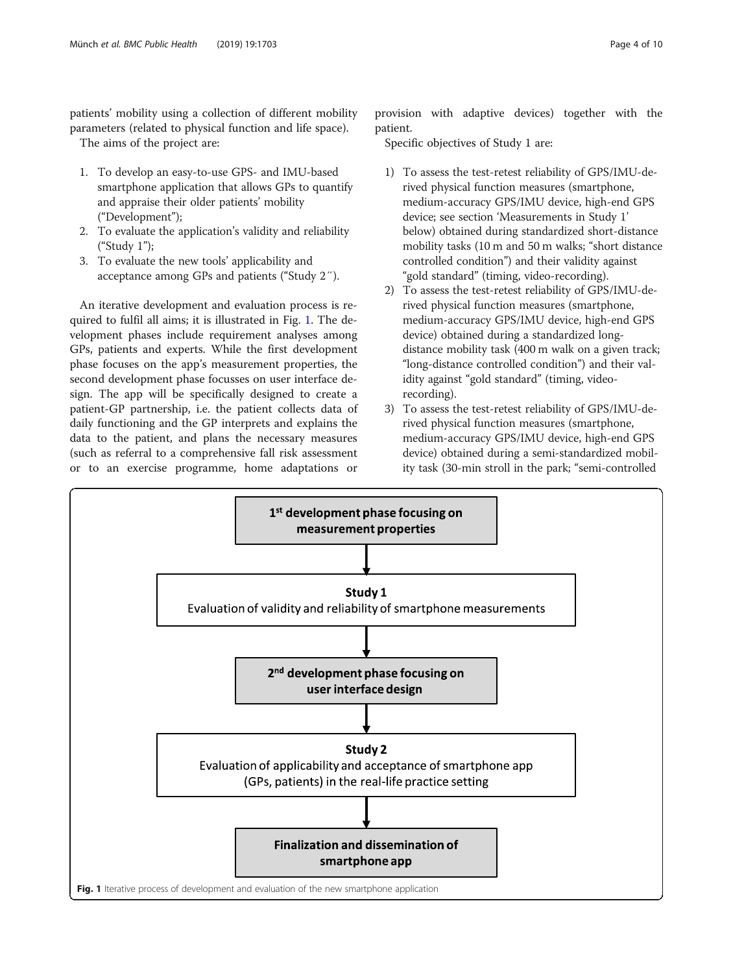patients' mobility using a collection of different mobility parameters (related to physical function and life space).

The aims of the project are:

- 1. To develop an easy-to-use GPS- and IMU-based smartphone application that allows GPs to quantify and appraise their older patients' mobility ("Development");
- 2. To evaluate the application's validity and reliability ("Study 1");
- 3. To evaluate the new tools' applicability and acceptance among GPs and patients ("Study 2″).

An iterative development and evaluation process is required to fulfil all aims; it is illustrated in Fig. 1. The development phases include requirement analyses among GPs, patients and experts. While the first development phase focuses on the app's measurement properties, the second development phase focusses on user interface design. The app will be specifically designed to create a patient-GP partnership, i.e. the patient collects data of daily functioning and the GP interprets and explains the data to the patient, and plans the necessary measures (such as referral to a comprehensive fall risk assessment or to an exercise programme, home adaptations or

provision with adaptive devices) together with the patient.

Specific objectives of Study 1 are:

- 1) To assess the test-retest reliability of GPS/IMU-derived physical function measures (smartphone, medium-accuracy GPS/IMU device, high-end GPS device; see section 'Measurements in Study 1' below) obtained during standardized short-distance mobility tasks (10 m and 50 m walks; "short distance controlled condition") and their validity against "gold standard" (timing, video-recording).
- 2) To assess the test-retest reliability of GPS/IMU-derived physical function measures (smartphone, medium-accuracy GPS/IMU device, high-end GPS device) obtained during a standardized longdistance mobility task (400 m walk on a given track; "long-distance controlled condition") and their validity against "gold standard" (timing, videorecording).
- 3) To assess the test-retest reliability of GPS/IMU-derived physical function measures (smartphone, medium-accuracy GPS/IMU device, high-end GPS device) obtained during a semi-standardized mobility task (30-min stroll in the park; "semi-controlled

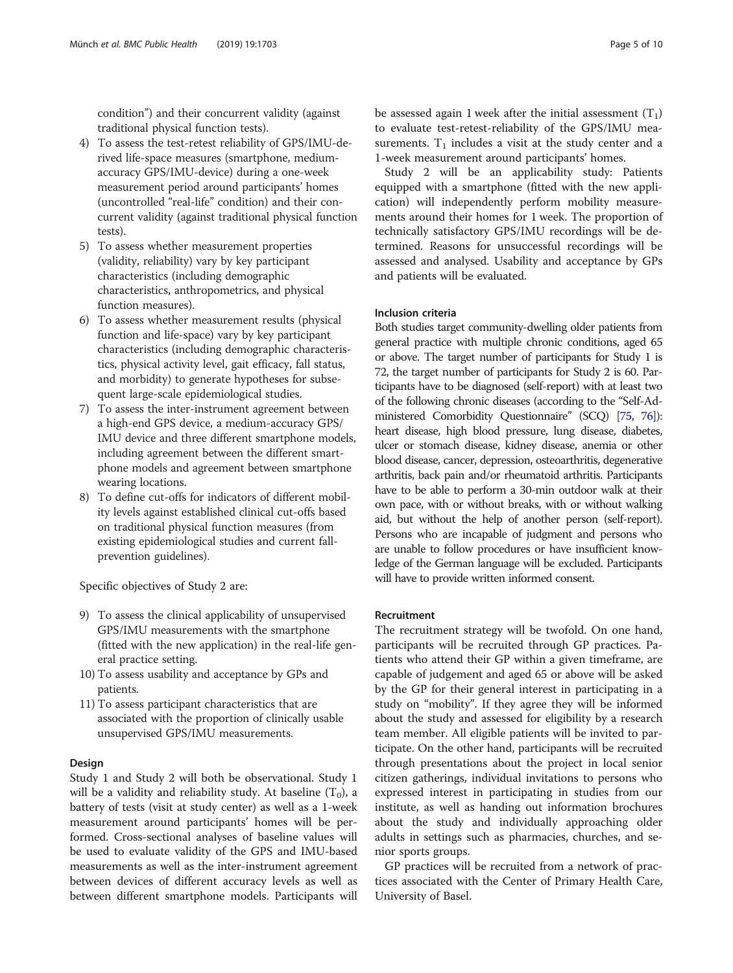condition") and their concurrent validity (against traditional physical function tests).

- 4) To assess the test-retest reliability of GPS/IMU-derived life-space measures (smartphone, mediumaccuracy GPS/IMU-device) during a one-week measurement period around participants' homes (uncontrolled "real-life" condition) and their concurrent validity (against traditional physical function tests).
- 5) To assess whether measurement properties (validity, reliability) vary by key participant characteristics (including demographic characteristics, anthropometrics, and physical function measures).
- 6) To assess whether measurement results (physical function and life-space) vary by key participant characteristics (including demographic characteristics, physical activity level, gait efficacy, fall status, and morbidity) to generate hypotheses for subsequent large-scale epidemiological studies.
- 7) To assess the inter-instrument agreement between a high-end GPS device, a medium-accuracy GPS/ IMU device and three different smartphone models, including agreement between the different smartphone models and agreement between smartphone wearing locations.
- 8) To define cut-offs for indicators of different mobility levels against established clinical cut-offs based on traditional physical function measures (from existing epidemiological studies and current fallprevention guidelines).

Specific objectives of Study 2 are:

- 9) To assess the clinical applicability of unsupervised GPS/IMU measurements with the smartphone (fitted with the new application) in the real-life general practice setting.
- 10) To assess usability and acceptance by GPs and patients.
- 11) To assess participant characteristics that are associated with the proportion of clinically usable unsupervised GPS/IMU measurements.

# Design

Study 1 and Study 2 will both be observational. Study 1 will be a validity and reliability study. At baseline  $(T_0)$ , a battery of tests (visit at study center) as well as a 1-week measurement around participants' homes will be performed. Cross-sectional analyses of baseline values will be used to evaluate validity of the GPS and IMU-based measurements as well as the inter-instrument agreement between devices of different accuracy levels as well as between different smartphone models. Participants will

be assessed again 1 week after the initial assessment  $(T_1)$ to evaluate test-retest-reliability of the GPS/IMU measurements.  $T_1$  includes a visit at the study center and a 1-week measurement around participants' homes.

Study 2 will be an applicability study: Patients equipped with a smartphone (fitted with the new application) will independently perform mobility measurements around their homes for 1 week. The proportion of technically satisfactory GPS/IMU recordings will be determined. Reasons for unsuccessful recordings will be assessed and analysed. Usability and acceptance by GPs and patients will be evaluated.

### Inclusion criteria

Both studies target community-dwelling older patients from general practice with multiple chronic conditions, aged 65 or above. The target number of participants for Study 1 is 72, the target number of participants for Study 2 is 60. Participants have to be diagnosed (self-report) with at least two of the following chronic diseases (according to the "Self-Administered Comorbidity Questionnaire" (SCQ) [\[75](#page-9-0), [76\]](#page-9-0)): heart disease, high blood pressure, lung disease, diabetes, ulcer or stomach disease, kidney disease, anemia or other blood disease, cancer, depression, osteoarthritis, degenerative arthritis, back pain and/or rheumatoid arthritis. Participants have to be able to perform a 30-min outdoor walk at their own pace, with or without breaks, with or without walking aid, but without the help of another person (self-report). Persons who are incapable of judgment and persons who are unable to follow procedures or have insufficient knowledge of the German language will be excluded. Participants will have to provide written informed consent.

### Recruitment

The recruitment strategy will be twofold. On one hand, participants will be recruited through GP practices. Patients who attend their GP within a given timeframe, are capable of judgement and aged 65 or above will be asked by the GP for their general interest in participating in a study on "mobility". If they agree they will be informed about the study and assessed for eligibility by a research team member. All eligible patients will be invited to participate. On the other hand, participants will be recruited through presentations about the project in local senior citizen gatherings, individual invitations to persons who expressed interest in participating in studies from our institute, as well as handing out information brochures about the study and individually approaching older adults in settings such as pharmacies, churches, and senior sports groups.

GP practices will be recruited from a network of practices associated with the Center of Primary Health Care, University of Basel.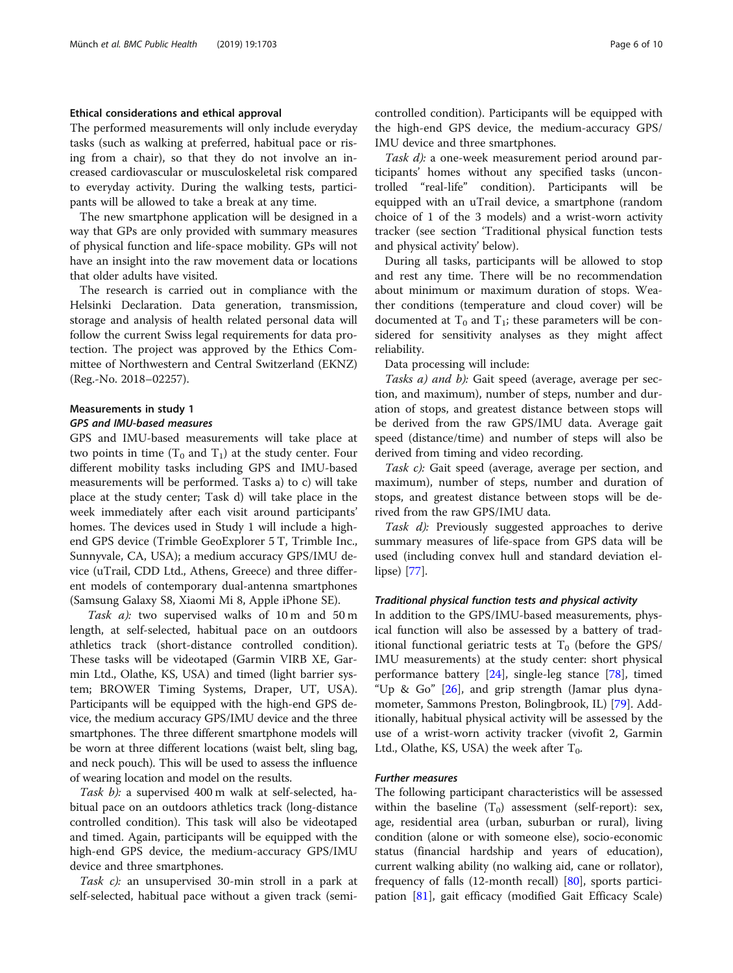# Ethical considerations and ethical approval

The performed measurements will only include everyday tasks (such as walking at preferred, habitual pace or rising from a chair), so that they do not involve an increased cardiovascular or musculoskeletal risk compared to everyday activity. During the walking tests, participants will be allowed to take a break at any time.

The new smartphone application will be designed in a way that GPs are only provided with summary measures of physical function and life-space mobility. GPs will not have an insight into the raw movement data or locations that older adults have visited.

The research is carried out in compliance with the Helsinki Declaration. Data generation, transmission, storage and analysis of health related personal data will follow the current Swiss legal requirements for data protection. The project was approved by the Ethics Committee of Northwestern and Central Switzerland (EKNZ) (Reg.-No. 2018–02257).

# Measurements in study 1

# GPS and IMU-based measures

GPS and IMU-based measurements will take place at two points in time  $(T_0$  and  $T_1$ ) at the study center. Four different mobility tasks including GPS and IMU-based measurements will be performed. Tasks a) to c) will take place at the study center; Task d) will take place in the week immediately after each visit around participants' homes. The devices used in Study 1 will include a highend GPS device (Trimble GeoExplorer 5 T, Trimble Inc., Sunnyvale, CA, USA); a medium accuracy GPS/IMU device (uTrail, CDD Ltd., Athens, Greece) and three different models of contemporary dual-antenna smartphones (Samsung Galaxy S8, Xiaomi Mi 8, Apple iPhone SE).

Task a): two supervised walks of 10 m and 50 m length, at self-selected, habitual pace on an outdoors athletics track (short-distance controlled condition). These tasks will be videotaped (Garmin VIRB XE, Garmin Ltd., Olathe, KS, USA) and timed (light barrier system; BROWER Timing Systems, Draper, UT, USA). Participants will be equipped with the high-end GPS device, the medium accuracy GPS/IMU device and the three smartphones. The three different smartphone models will be worn at three different locations (waist belt, sling bag, and neck pouch). This will be used to assess the influence of wearing location and model on the results.

Task b): a supervised 400 m walk at self-selected, habitual pace on an outdoors athletics track (long-distance controlled condition). This task will also be videotaped and timed. Again, participants will be equipped with the high-end GPS device, the medium-accuracy GPS/IMU device and three smartphones.

Task c): an unsupervised 30-min stroll in a park at self-selected, habitual pace without a given track (semicontrolled condition). Participants will be equipped with the high-end GPS device, the medium-accuracy GPS/ IMU device and three smartphones.

Task d): a one-week measurement period around participants' homes without any specified tasks (uncontrolled "real-life" condition). Participants will be equipped with an uTrail device, a smartphone (random choice of 1 of the 3 models) and a wrist-worn activity tracker (see section 'Traditional physical function tests and physical activity' below).

During all tasks, participants will be allowed to stop and rest any time. There will be no recommendation about minimum or maximum duration of stops. Weather conditions (temperature and cloud cover) will be documented at  $T_0$  and  $T_1$ ; these parameters will be considered for sensitivity analyses as they might affect reliability.

Data processing will include:

Tasks a) and b): Gait speed (average, average per section, and maximum), number of steps, number and duration of stops, and greatest distance between stops will be derived from the raw GPS/IMU data. Average gait speed (distance/time) and number of steps will also be derived from timing and video recording.

Task c): Gait speed (average, average per section, and maximum), number of steps, number and duration of stops, and greatest distance between stops will be derived from the raw GPS/IMU data.

Task d): Previously suggested approaches to derive summary measures of life-space from GPS data will be used (including convex hull and standard deviation ellipse) [[77](#page-9-0)].

# Traditional physical function tests and physical activity

In addition to the GPS/IMU-based measurements, physical function will also be assessed by a battery of traditional functional geriatric tests at  $T_0$  (before the GPS/ IMU measurements) at the study center: short physical performance battery [[24\]](#page-8-0), single-leg stance [\[78\]](#page-9-0), timed "Up & Go" [[26\]](#page-8-0), and grip strength (Jamar plus dynamometer, Sammons Preston, Bolingbrook, IL) [[79](#page-9-0)]. Additionally, habitual physical activity will be assessed by the use of a wrist-worn activity tracker (vivofit 2, Garmin Ltd., Olathe, KS, USA) the week after  $T_0$ .

# Further measures

The following participant characteristics will be assessed within the baseline  $(T_0)$  assessment (self-report): sex, age, residential area (urban, suburban or rural), living condition (alone or with someone else), socio-economic status (financial hardship and years of education), current walking ability (no walking aid, cane or rollator), frequency of falls (12-month recall) [\[80\]](#page-9-0), sports participation [\[81](#page-9-0)], gait efficacy (modified Gait Efficacy Scale)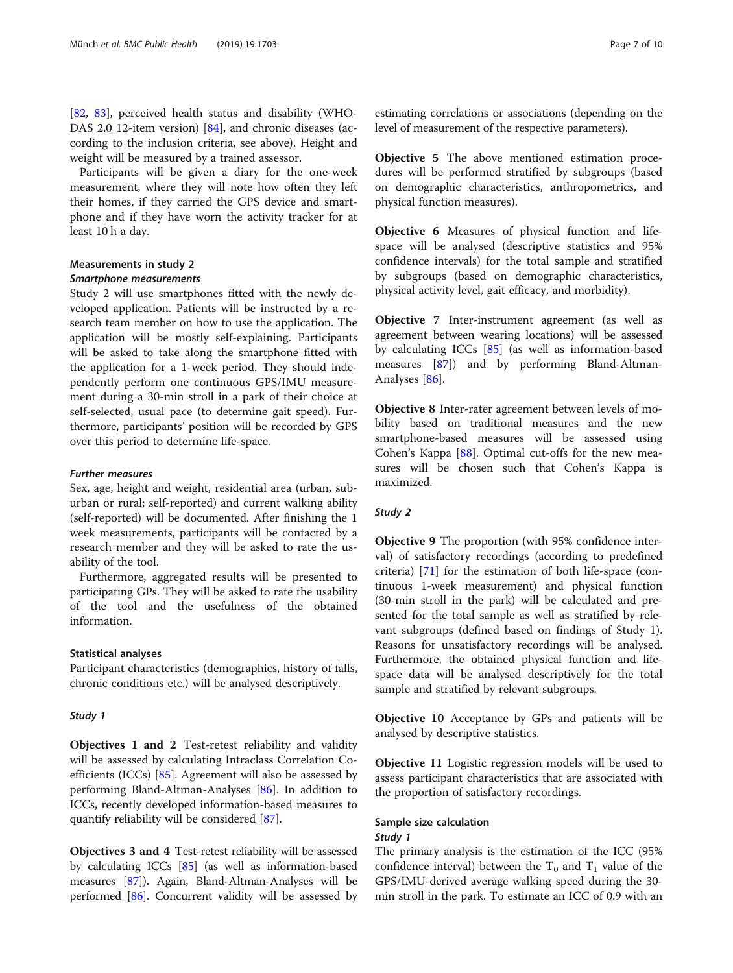[[82,](#page-9-0) [83](#page-9-0)], perceived health status and disability (WHO-DAS 2.0 12-item version) [\[84](#page-9-0)], and chronic diseases (according to the inclusion criteria, see above). Height and weight will be measured by a trained assessor.

Participants will be given a diary for the one-week measurement, where they will note how often they left their homes, if they carried the GPS device and smartphone and if they have worn the activity tracker for at least 10 h a day.

# Measurements in study 2

# Smartphone measurements

Study 2 will use smartphones fitted with the newly developed application. Patients will be instructed by a research team member on how to use the application. The application will be mostly self-explaining. Participants will be asked to take along the smartphone fitted with the application for a 1-week period. They should independently perform one continuous GPS/IMU measurement during a 30-min stroll in a park of their choice at self-selected, usual pace (to determine gait speed). Furthermore, participants' position will be recorded by GPS over this period to determine life-space.

#### Further measures

Sex, age, height and weight, residential area (urban, suburban or rural; self-reported) and current walking ability (self-reported) will be documented. After finishing the 1 week measurements, participants will be contacted by a research member and they will be asked to rate the usability of the tool.

Furthermore, aggregated results will be presented to participating GPs. They will be asked to rate the usability of the tool and the usefulness of the obtained information.

#### Statistical analyses

Participant characteristics (demographics, history of falls, chronic conditions etc.) will be analysed descriptively.

#### Study 1

Objectives 1 and 2 Test-retest reliability and validity will be assessed by calculating Intraclass Correlation Coefficients (ICCs) [\[85\]](#page-9-0). Agreement will also be assessed by performing Bland-Altman-Analyses [\[86](#page-9-0)]. In addition to ICCs, recently developed information-based measures to quantify reliability will be considered [\[87\]](#page-9-0).

Objectives 3 and 4 Test-retest reliability will be assessed by calculating ICCs [\[85\]](#page-9-0) (as well as information-based measures [\[87\]](#page-9-0)). Again, Bland-Altman-Analyses will be performed [\[86](#page-9-0)]. Concurrent validity will be assessed by Objective 5 The above mentioned estimation procedures will be performed stratified by subgroups (based on demographic characteristics, anthropometrics, and physical function measures).

Objective 6 Measures of physical function and lifespace will be analysed (descriptive statistics and 95% confidence intervals) for the total sample and stratified by subgroups (based on demographic characteristics, physical activity level, gait efficacy, and morbidity).

Objective 7 Inter-instrument agreement (as well as agreement between wearing locations) will be assessed by calculating ICCs [[85\]](#page-9-0) (as well as information-based measures [[87\]](#page-9-0)) and by performing Bland-Altman-Analyses [[86](#page-9-0)].

Objective 8 Inter-rater agreement between levels of mobility based on traditional measures and the new smartphone-based measures will be assessed using Cohen's Kappa [[88\]](#page-9-0). Optimal cut-offs for the new measures will be chosen such that Cohen's Kappa is maximized.

# Study 2

Objective 9 The proportion (with 95% confidence interval) of satisfactory recordings (according to predefined criteria) [[71\]](#page-9-0) for the estimation of both life-space (continuous 1-week measurement) and physical function (30-min stroll in the park) will be calculated and presented for the total sample as well as stratified by relevant subgroups (defined based on findings of Study 1). Reasons for unsatisfactory recordings will be analysed. Furthermore, the obtained physical function and lifespace data will be analysed descriptively for the total sample and stratified by relevant subgroups.

Objective 10 Acceptance by GPs and patients will be analysed by descriptive statistics.

Objective 11 Logistic regression models will be used to assess participant characteristics that are associated with the proportion of satisfactory recordings.

# Sample size calculation Study 1

The primary analysis is the estimation of the ICC (95% confidence interval) between the  $T_0$  and  $T_1$  value of the GPS/IMU-derived average walking speed during the 30 min stroll in the park. To estimate an ICC of 0.9 with an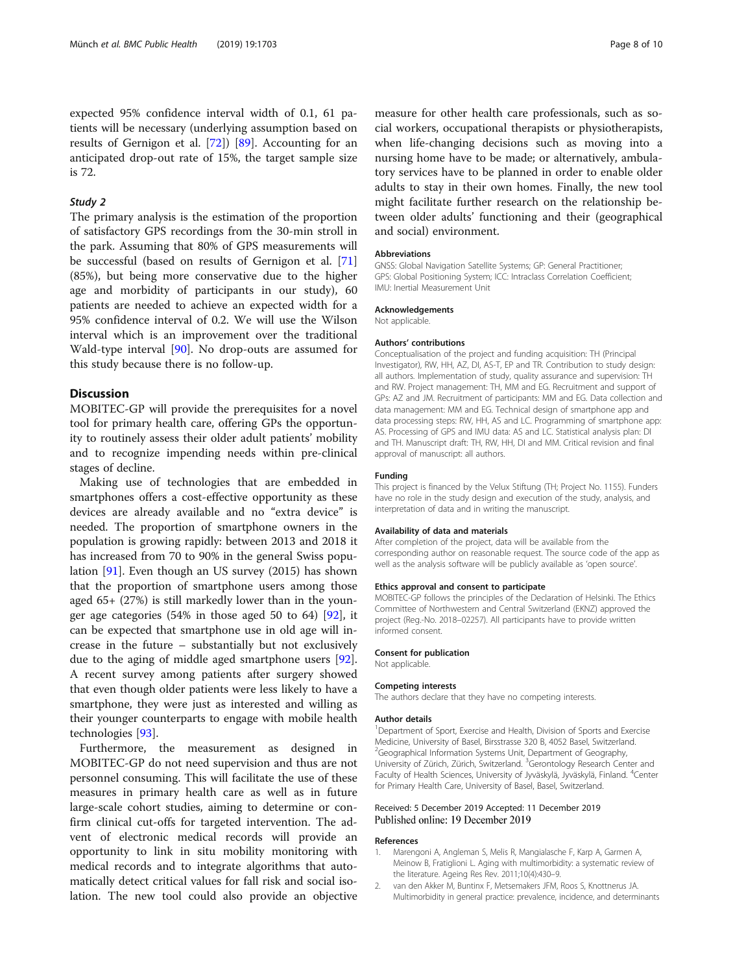<span id="page-7-0"></span>expected 95% confidence interval width of 0.1, 61 patients will be necessary (underlying assumption based on results of Gernigon et al. [[72](#page-9-0)]) [[89\]](#page-9-0). Accounting for an anticipated drop-out rate of 15%, the target sample size is 72.

# Study 2

The primary analysis is the estimation of the proportion of satisfactory GPS recordings from the 30-min stroll in the park. Assuming that 80% of GPS measurements will be successful (based on results of Gernigon et al. [[71](#page-9-0)] (85%), but being more conservative due to the higher age and morbidity of participants in our study), 60 patients are needed to achieve an expected width for a 95% confidence interval of 0.2. We will use the Wilson interval which is an improvement over the traditional Wald-type interval [[90\]](#page-9-0). No drop-outs are assumed for this study because there is no follow-up.

# Discussion

MOBITEC-GP will provide the prerequisites for a novel tool for primary health care, offering GPs the opportunity to routinely assess their older adult patients' mobility and to recognize impending needs within pre-clinical stages of decline.

Making use of technologies that are embedded in smartphones offers a cost-effective opportunity as these devices are already available and no "extra device" is needed. The proportion of smartphone owners in the population is growing rapidly: between 2013 and 2018 it has increased from 70 to 90% in the general Swiss population [\[91](#page-9-0)]. Even though an US survey (2015) has shown that the proportion of smartphone users among those aged 65+ (27%) is still markedly lower than in the younger age categories (54% in those aged 50 to 64) [[92\]](#page-9-0), it can be expected that smartphone use in old age will increase in the future – substantially but not exclusively due to the aging of middle aged smartphone users [\[92](#page-9-0)]. A recent survey among patients after surgery showed that even though older patients were less likely to have a smartphone, they were just as interested and willing as their younger counterparts to engage with mobile health technologies [[93\]](#page-9-0).

Furthermore, the measurement as designed in MOBITEC-GP do not need supervision and thus are not personnel consuming. This will facilitate the use of these measures in primary health care as well as in future large-scale cohort studies, aiming to determine or confirm clinical cut-offs for targeted intervention. The advent of electronic medical records will provide an opportunity to link in situ mobility monitoring with medical records and to integrate algorithms that automatically detect critical values for fall risk and social isolation. The new tool could also provide an objective measure for other health care professionals, such as social workers, occupational therapists or physiotherapists, when life-changing decisions such as moving into a nursing home have to be made; or alternatively, ambulatory services have to be planned in order to enable older adults to stay in their own homes. Finally, the new tool might facilitate further research on the relationship between older adults' functioning and their (geographical and social) environment.

#### **Abbreviations**

GNSS: Global Navigation Satellite Systems; GP: General Practitioner; GPS: Global Positioning System; ICC: Intraclass Correlation Coefficient; IMU: Inertial Measurement Unit

#### Acknowledgements

Not applicable.

#### Authors' contributions

Conceptualisation of the project and funding acquisition: TH (Principal Investigator), RW, HH, AZ, DI, AS-T, EP and TR. Contribution to study design: all authors. Implementation of study, quality assurance and supervision: TH and RW. Project management: TH, MM and EG. Recruitment and support of GPs: AZ and JM. Recruitment of participants: MM and EG. Data collection and data management: MM and EG. Technical design of smartphone app and data processing steps: RW, HH, AS and LC. Programming of smartphone app: AS. Processing of GPS and IMU data: AS and LC. Statistical analysis plan: DI and TH. Manuscript draft: TH, RW, HH, DI and MM. Critical revision and final approval of manuscript: all authors.

#### Funding

This project is financed by the Velux Stiftung (TH; Project No. 1155). Funders have no role in the study design and execution of the study, analysis, and interpretation of data and in writing the manuscript.

#### Availability of data and materials

After completion of the project, data will be available from the corresponding author on reasonable request. The source code of the app as well as the analysis software will be publicly available as 'open source'.

#### Ethics approval and consent to participate

MOBITEC-GP follows the principles of the Declaration of Helsinki. The Ethics Committee of Northwestern and Central Switzerland (EKNZ) approved the project (Reg.-No. 2018–02257). All participants have to provide written informed consent.

# Consent for publication

Not applicable.

#### Competing interests

The authors declare that they have no competing interests.

#### Author details

<sup>1</sup>Department of Sport, Exercise and Health, Division of Sports and Exercise Medicine, University of Basel, Birsstrasse 320 B, 4052 Basel, Switzerland. <sup>2</sup>Geographical Information Systems Unit, Department of Geography University of Zürich, Zürich, Switzerland. <sup>3</sup>Gerontology Research Center and Faculty of Health Sciences, University of Jyväskylä, Jyväskylä, Finland. <sup>4</sup>Center for Primary Health Care, University of Basel, Basel, Switzerland.

### Received: 5 December 2019 Accepted: 11 December 2019 Published online: 19 December 2019

#### References

- 1. Marengoni A, Angleman S, Melis R, Mangialasche F, Karp A, Garmen A, Meinow B, Fratiglioni L. Aging with multimorbidity: a systematic review of the literature. Ageing Res Rev. 2011;10(4):430–9.
- 2. van den Akker M, Buntinx F, Metsemakers JFM, Roos S, Knottnerus JA. Multimorbidity in general practice: prevalence, incidence, and determinants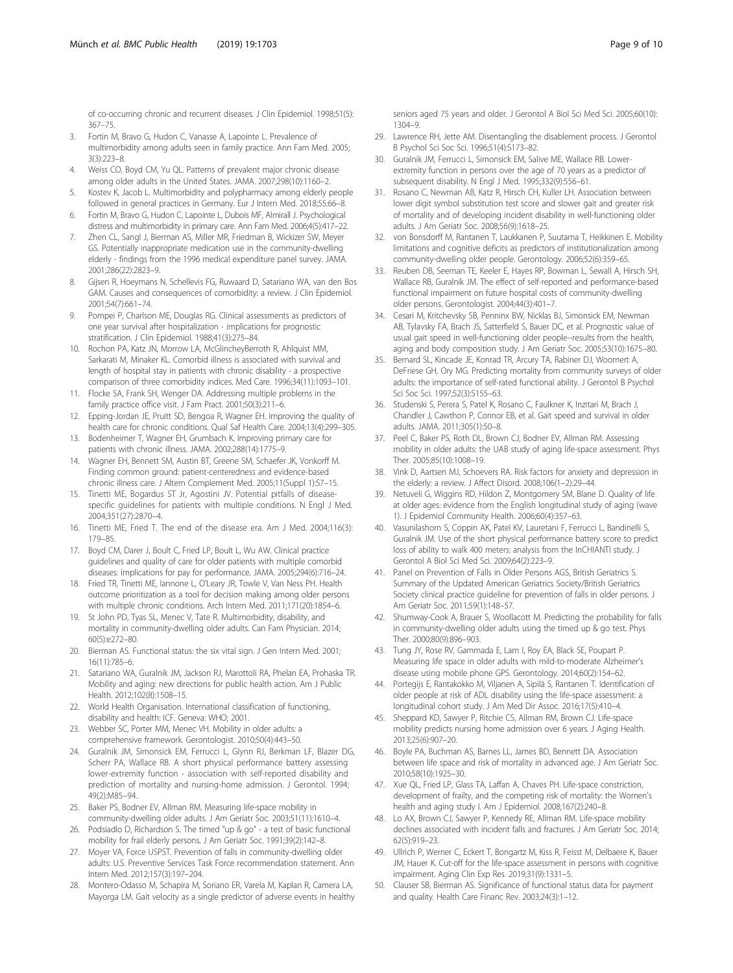<span id="page-8-0"></span>of co-occurring chronic and recurrent diseases. J Clin Epidemiol. 1998;51(5): 367–75.

- 3. Fortin M, Bravo G, Hudon C, Vanasse A, Lapointe L. Prevalence of multimorbidity among adults seen in family practice. Ann Fam Med. 2005;  $3(3) \cdot 223 - 8$
- 4. Weiss CO, Boyd CM, Yu QL. Patterns of prevalent major chronic disease among older adults in the United States. JAMA. 2007;298(10):1160–2.
- 5. Kostev K, Jacob L. Multimorbidity and polypharmacy among elderly people followed in general practices in Germany. Eur J Intern Med. 2018;55:66–8.
- 6. Fortin M, Bravo G, Hudon C, Lapointe L, Dubois MF, Almirall J. Psychological distress and multimorbidity in primary care. Ann Fam Med. 2006;4(5):417–22.
- 7. Zhen CL, Sangl J, Bierman AS, Miller MR, Friedman B, Wickizer SW, Meyer GS. Potentially inappropriate medication use in the community-dwelling elderly - findings from the 1996 medical expenditure panel survey. JAMA. 2001;286(22):2823–9.
- 8. Gijsen R, Hoeymans N, Schellevis FG, Ruwaard D, Satariano WA, van den Bos GAM. Causes and consequences of comorbidity: a review. J Clin Epidemiol. 2001;54(7):661–74.
- 9. Pompei P, Charlson ME, Douglas RG. Clinical assessments as predictors of one year survival after hospitalization - implications for prognostic stratification. J Clin Epidemiol. 1988;41(3):275–84.
- 10. Rochon PA, Katz JN, Morrow LA, McGlincheyBerroth R, Ahlquist MM, Sarkarati M, Minaker KL. Comorbid illness is associated with survival and length of hospital stay in patients with chronic disability - a prospective comparison of three comorbidity indices. Med Care. 1996;34(11):1093–101.
- 11. Flocke SA, Frank SH, Wenger DA. Addressing multiple problems in the family practice office visit. J Fam Pract. 2001;50(3):211–6.
- 12. Epping-Jordan JE, Pruitt SD, Bengoa R, Wagner EH. Improving the quality of health care for chronic conditions. Qual Saf Health Care. 2004;13(4):299–305.
- 13. Bodenheimer T, Wagner EH, Grumbach K. Improving primary care for patients with chronic illness. JAMA. 2002;288(14):1775–9.
- 14. Wagner EH, Bennett SM, Austin BT, Greene SM, Schaefer JK, Vonkorff M. Finding common ground: patient-centeredness and evidence-based chronic illness care. J Altern Complement Med. 2005;11(Suppl 1):S7–15.
- 15. Tinetti ME, Bogardus ST Jr, Agostini JV. Potential pitfalls of diseasespecific guidelines for patients with multiple conditions. N Engl J Med. 2004;351(27):2870–4.
- 16. Tinetti ME, Fried T. The end of the disease era. Am J Med. 2004;116(3): 179–85.
- 17. Boyd CM, Darer J, Boult C, Fried LP, Boult L, Wu AW. Clinical practice guidelines and quality of care for older patients with multiple comorbid diseases: implications for pay for performance. JAMA. 2005;294(6):716–24.
- 18. Fried TR, Tinetti ME, Iannone L, O'Leary JR, Towle V, Van Ness PH. Health outcome prioritization as a tool for decision making among older persons with multiple chronic conditions. Arch Intern Med. 2011;171(20):1854–6.
- 19. St John PD, Tyas SL, Menec V, Tate R. Multimorbidity, disability, and mortality in community-dwelling older adults. Can Fam Physician. 2014; 60(5):e272–80.
- 20. Bierman AS. Functional status: the six vital sign. J Gen Intern Med. 2001; 16(11):785–6.
- 21. Satariano WA, Guralnik JM, Jackson RJ, Marottoli RA, Phelan EA, Prohaska TR. Mobility and aging: new directions for public health action. Am J Public Health. 2012;102(8):1508–15.
- 22. World Health Organisation. International classification of functioning, disability and health: ICF. Geneva: WHO; 2001.
- 23. Webber SC, Porter MM, Menec VH. Mobility in older adults: a comprehensive framework. Gerontologist. 2010;50(4):443–50.
- 24. Guralnik JM, Simonsick EM, Ferrucci L, Glynn RJ, Berkman LF, Blazer DG, Scherr PA, Wallace RB. A short physical performance battery assessing lower-extremity function - association with self-reported disability and prediction of mortality and nursing-home admission. J Gerontol. 1994; 49(2):M85–94.
- 25. Baker PS, Bodner EV, Allman RM. Measuring life-space mobility in community-dwelling older adults. J Am Geriatr Soc. 2003;51(11):1610–4.
- 26. Podsiadlo D, Richardson S. The timed "up & go" a test of basic functional mobility for frail elderly persons. J Am Geriatr Soc. 1991;39(2):142–8.
- 27. Moyer VA, Force USPST. Prevention of falls in community-dwelling older adults: U.S. Preventive Services Task Force recommendation statement. Ann Intern Med. 2012;157(3):197–204.
- 28. Montero-Odasso M, Schapira M, Soriano ER, Varela M, Kaplan R, Camera LA, Mayorga LM. Gait velocity as a single predictor of adverse events in healthy

seniors aged 75 years and older. J Gerontol A Biol Sci Med Sci. 2005;60(10): 1304–9.

- 29. Lawrence RH, Jette AM. Disentangling the disablement process. J Gerontol B Psychol Sci Soc Sci. 1996;51(4):S173–82.
- 30. Guralnik JM, Ferrucci L, Simonsick EM, Salive ME, Wallace RB. Lowerextremity function in persons over the age of 70 years as a predictor of subsequent disability. N Engl J Med. 1995;332(9):556–61.
- 31. Rosano C, Newman AB, Katz R, Hirsch CH, Kuller LH. Association between lower digit symbol substitution test score and slower gait and greater risk of mortality and of developing incident disability in well-functioning older adults. J Am Geriatr Soc. 2008;56(9):1618–25.
- 32. von Bonsdorff M, Rantanen T, Laukkanen P, Suutama T, Heikkinen E. Mobility limitations and cognitive deficits as predictors of institutionalization among community-dwelling older people. Gerontology. 2006;52(6):359–65.
- 33. Reuben DB, Seeman TE, Keeler E, Hayes RP, Bowman L, Sewall A, Hirsch SH, Wallace RB, Guralnik JM. The effect of self-reported and performance-based functional impairment on future hospital costs of community-dwelling older persons. Gerontologist. 2004;44(3):401–7.
- 34. Cesari M, Kritchevsky SB, Penninx BW, Nicklas BJ, Simonsick EM, Newman AB, Tylavsky FA, Brach JS, Satterfield S, Bauer DC, et al. Prognostic value of usual gait speed in well-functioning older people--results from the health, aging and body composition study. J Am Geriatr Soc. 2005;53(10):1675–80.
- 35. Bernard SL, Kincade JE, Konrad TR, Arcury TA, Rabiner DJ, Woomert A, DeFriese GH, Ory MG. Predicting mortality from community surveys of older adults: the importance of self-rated functional ability. J Gerontol B Psychol Sci Soc Sci. 1997;52(3):S155–63.
- 36. Studenski S, Perera S, Patel K, Rosano C, Faulkner K, Inzitari M, Brach J, Chandler J, Cawthon P, Connor EB, et al. Gait speed and survival in older adults. JAMA. 2011;305(1):50–8.
- 37. Peel C, Baker PS, Roth DL, Brown CJ, Bodner EV, Allman RM. Assessing mobility in older adults: the UAB study of aging life-space assessment. Phys Ther. 2005;85(10):1008–19.
- 38. Vink D, Aartsen MJ, Schoevers RA. Risk factors for anxiety and depression in the elderly: a review. J Affect Disord. 2008;106(1–2):29–44.
- 39. Netuveli G, Wiggins RD, Hildon Z, Montgomery SM, Blane D. Quality of life at older ages: evidence from the English longitudinal study of aging (wave 1). J Epidemiol Community Health. 2006;60(4):357–63.
- 40. Vasunilashorn S, Coppin AK, Patel KV, Lauretani F, Ferrucci L, Bandinelli S, Guralnik JM. Use of the short physical performance battery score to predict loss of ability to walk 400 meters: analysis from the InCHIANTI study. J Gerontol A Biol Sci Med Sci. 2009;64(2):223–9.
- 41. Panel on Prevention of Falls in Older Persons AGS, British Geriatrics S. Summary of the Updated American Geriatrics Society/British Geriatrics Society clinical practice guideline for prevention of falls in older persons. J Am Geriatr Soc. 2011;59(1):148–57.
- 42. Shumway-Cook A, Brauer S, Woollacott M. Predicting the probability for falls in community-dwelling older adults using the timed up & go test. Phys Ther. 2000;80(9):896–903.
- 43. Tung JY, Rose RV, Gammada E, Lam I, Roy EA, Black SE, Poupart P. Measuring life space in older adults with mild-to-moderate Alzheimer's disease using mobile phone GPS. Gerontology. 2014;60(2):154–62.
- 44. Portegijs E, Rantakokko M, Viljanen A, Sipilä S, Rantanen T. Identification of older people at risk of ADL disability using the life-space assessment: a longitudinal cohort study. J Am Med Dir Assoc. 2016;17(5):410–4.
- 45. Sheppard KD, Sawyer P, Ritchie CS, Allman RM, Brown CJ. Life-space mobility predicts nursing home admission over 6 years. J Aging Health. 2013;25(6):907–20.
- 46. Boyle PA, Buchman AS, Barnes LL, James BD, Bennett DA. Association between life space and risk of mortality in advanced age. J Am Geriatr Soc. 2010;58(10):1925–30.
- 47. Xue QL, Fried LP, Glass TA, Laffan A, Chaves PH. Life-space constriction, development of frailty, and the competing risk of mortality: the Women's health and aging study I. Am J Epidemiol. 2008;167(2):240–8.
- 48. Lo AX, Brown CJ, Sawyer P, Kennedy RE, Allman RM. Life-space mobility declines associated with incident falls and fractures. J Am Geriatr Soc. 2014; 62(5):919–23.
- 49. Ullrich P, Werner C, Eckert T, Bongartz M, Kiss R, Feisst M, Delbaere K, Bauer JM, Hauer K. Cut-off for the life-space assessment in persons with cognitive impairment. Aging Clin Exp Res. 2019;31(9):1331–5.
- 50. Clauser SB, Bierman AS. Significance of functional status data for payment and quality. Health Care Financ Rev. 2003;24(3):1–12.